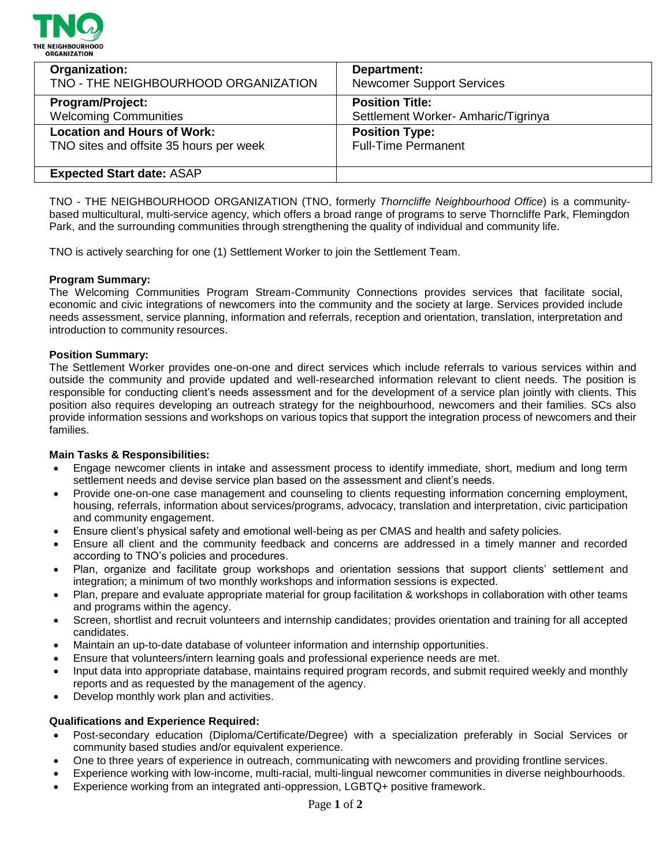

| Organization:                           | Department:                        |
|-----------------------------------------|------------------------------------|
| TNO - THE NEIGHBOURHOOD ORGANIZATION    | <b>Newcomer Support Services</b>   |
| <b>Program/Project:</b>                 | <b>Position Title:</b>             |
| <b>Welcoming Communities</b>            | Settlement Worker-Amharic/Tigrinya |
| <b>Location and Hours of Work:</b>      | <b>Position Type:</b>              |
| TNO sites and offsite 35 hours per week | <b>Full-Time Permanent</b>         |
| <b>Expected Start date: ASAP</b>        |                                    |

TNO - THE NEIGHBOURHOOD ORGANIZATION (TNO, formerly *Thorncliffe Neighbourhood Office*) is a communitybased multicultural, multi-service agency, which offers a broad range of programs to serve Thorncliffe Park, Flemingdon Park, and the surrounding communities through strengthening the quality of individual and community life.

TNO is actively searching for one (1) Settlement Worker to join the Settlement Team.

## **Program Summary:**

The Welcoming Communities Program Stream-Community Connections provides services that facilitate social, economic and civic integrations of newcomers into the community and the society at large. Services provided include needs assessment, service planning, information and referrals, reception and orientation, translation, interpretation and introduction to community resources.

## **Position Summary:**

The Settlement Worker provides one-on-one and direct services which include referrals to various services within and outside the community and provide updated and well-researched information relevant to client needs. The position is responsible for conducting client's needs assessment and for the development of a service plan jointly with clients. This position also requires developing an outreach strategy for the neighbourhood, newcomers and their families. SCs also provide information sessions and workshops on various topics that support the integration process of newcomers and their families.

## **Main Tasks & Responsibilities:**

- Engage newcomer clients in intake and assessment process to identify immediate, short, medium and long term settlement needs and devise service plan based on the assessment and client's needs.
- Provide one-on-one case management and counseling to clients requesting information concerning employment, housing, referrals, information about services/programs, advocacy, translation and interpretation, civic participation and community engagement.
- Ensure client's physical safety and emotional well-being as per CMAS and health and safety policies.
- Ensure all client and the community feedback and concerns are addressed in a timely manner and recorded according to TNO's policies and procedures.
- Plan, organize and facilitate group workshops and orientation sessions that support clients' settlement and integration; a minimum of two monthly workshops and information sessions is expected.
- Plan, prepare and evaluate appropriate material for group facilitation & workshops in collaboration with other teams and programs within the agency.
- Screen, shortlist and recruit volunteers and internship candidates; provides orientation and training for all accepted candidates.
- Maintain an up-to-date database of volunteer information and internship opportunities.
- Ensure that volunteers/intern learning goals and professional experience needs are met.
- Input data into appropriate database, maintains required program records, and submit required weekly and monthly reports and as requested by the management of the agency.
- Develop monthly work plan and activities.

## **Qualifications and Experience Required:**

- Post-secondary education (Diploma/Certificate/Degree) with a specialization preferably in Social Services or community based studies and/or equivalent experience.
- One to three years of experience in outreach, communicating with newcomers and providing frontline services.
- Experience working with low-income, multi-racial, multi-lingual newcomer communities in diverse neighbourhoods.
- Experience working from an integrated anti-oppression, LGBTQ+ positive framework.